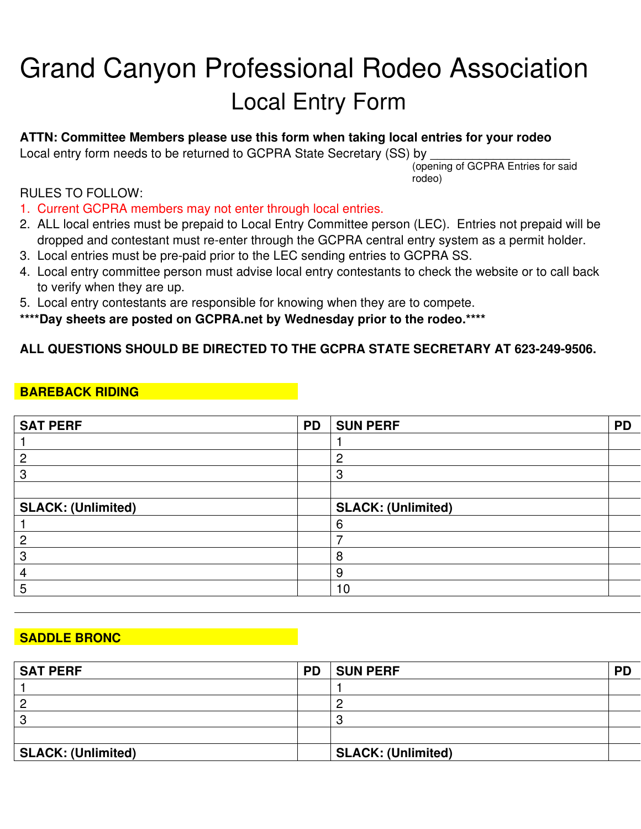# Grand Canyon Professional Rodeo Association Local Entry Form

#### **ATTN: Committee Members please use this form when taking local entries for your rodeo**

Local entry form needs to be returned to GCPRA State Secretary (SS) by

(opening of GCPRA Entries for said rodeo)

#### RULES TO FOLLOW:

- 1. Current GCPRA members may not enter through local entries.
- 2. ALL local entries must be prepaid to Local Entry Committee person (LEC). Entries not prepaid will be dropped and contestant must re-enter through the GCPRA central entry system as a permit holder.
- 3. Local entries must be pre-paid prior to the LEC sending entries to GCPRA SS.
- 4. Local entry committee person must advise local entry contestants to check the website or to call back to verify when they are up.
- 5. Local entry contestants are responsible for knowing when they are to compete.

**\*\*\*\*Day sheets are posted on GCPRA.net by Wednesday prior to the rodeo.\*\*\*\***

#### **ALL QUESTIONS SHOULD BE DIRECTED TO THE GCPRA STATE SECRETARY AT 623-249-9506.**

#### **BAREBACK RIDING**

| <b>SAT PERF</b>           | <b>PD</b> | <b>SUN PERF</b>           | <b>PD</b> |
|---------------------------|-----------|---------------------------|-----------|
|                           |           |                           |           |
| n                         |           | ◠                         |           |
|                           |           | റ<br>ت                    |           |
|                           |           |                           |           |
| <b>SLACK: (Unlimited)</b> |           | <b>SLACK: (Unlimited)</b> |           |
|                           |           | 6                         |           |
|                           |           |                           |           |
| ാ                         |           | 8                         |           |
|                           |           | 9                         |           |
| b                         |           | 10                        |           |

#### **SADDLE BRONC**

| <b>SAT PERF</b>           | <b>PD</b> | <b>SUN PERF</b>           | <b>PD</b> |
|---------------------------|-----------|---------------------------|-----------|
|                           |           |                           |           |
|                           |           |                           |           |
|                           |           |                           |           |
|                           |           |                           |           |
| <b>SLACK: (Unlimited)</b> |           | <b>SLACK: (Unlimited)</b> |           |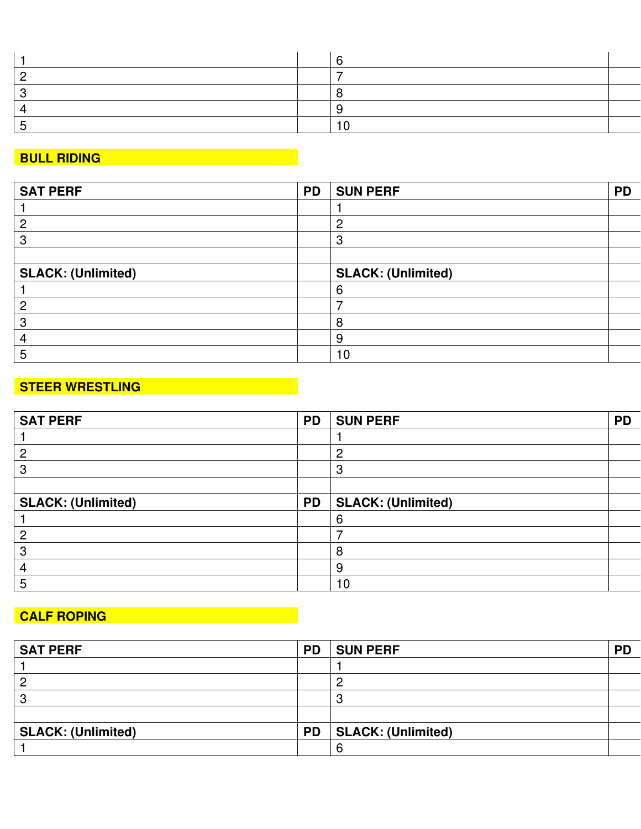## **BULL RIDING**

| <b>SAT PERF</b>           | <b>PD</b> | <b>SUN PERF</b>           | <b>PD</b> |
|---------------------------|-----------|---------------------------|-----------|
|                           |           |                           |           |
| റ                         |           | റ                         |           |
|                           |           | 3                         |           |
|                           |           |                           |           |
| <b>SLACK: (Unlimited)</b> |           | <b>SLACK: (Unlimited)</b> |           |
|                           |           | 6                         |           |
|                           |           |                           |           |
|                           |           | O                         |           |
|                           |           | 9                         |           |
|                           |           | 10                        |           |

## **STEER WRESTLING**

| <b>SAT PERF</b>           | <b>PD</b> | <b>SUN PERF</b>           | <b>PD</b> |
|---------------------------|-----------|---------------------------|-----------|
|                           |           |                           |           |
| 2                         |           | 2                         |           |
| 3                         |           | 3                         |           |
|                           |           |                           |           |
| <b>SLACK: (Unlimited)</b> | <b>PD</b> | <b>SLACK: (Unlimited)</b> |           |
|                           |           | 6                         |           |
| 2                         |           |                           |           |
| 3                         |           | 8                         |           |
| 4                         |           | 9                         |           |
| 5                         |           | 10                        |           |

## **CALF ROPING**

| <b>SAT PERF</b>           | <b>PD</b> | <b>SUN PERF</b>    | <b>PD</b> |
|---------------------------|-----------|--------------------|-----------|
|                           |           |                    |           |
| ◠                         |           |                    |           |
| o                         |           |                    |           |
|                           |           |                    |           |
| <b>SLACK: (Unlimited)</b> | <b>PD</b> | SLACK: (Unlimited) |           |
|                           |           |                    |           |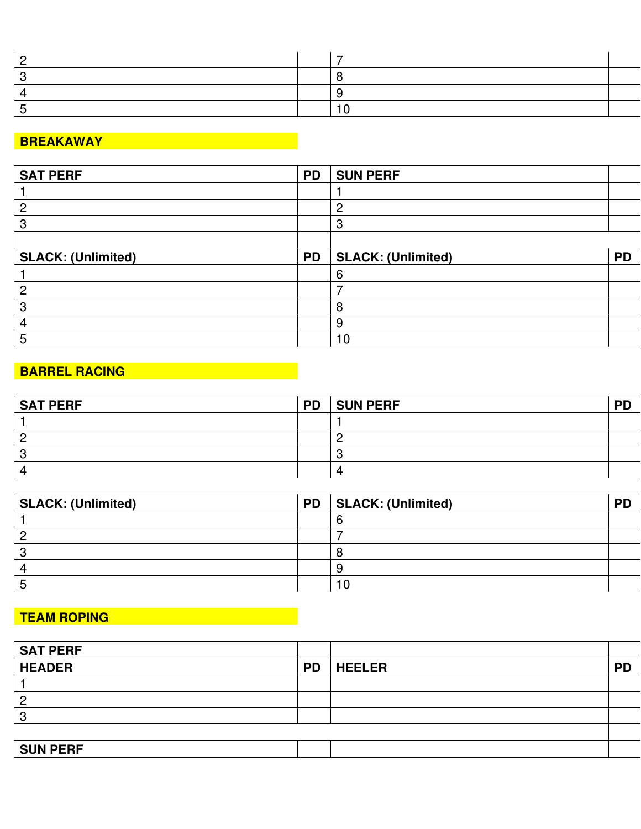## **BREAKAWAY**

| <b>SAT PERF</b>           | <b>PD</b> | <b>SUN PERF</b>           |           |
|---------------------------|-----------|---------------------------|-----------|
|                           |           |                           |           |
| Ω                         |           | റ                         |           |
|                           |           | 3                         |           |
|                           |           |                           |           |
| <b>SLACK: (Unlimited)</b> | <b>PD</b> | <b>SLACK: (Unlimited)</b> | <b>PD</b> |
|                           |           | ห                         |           |
| റ                         |           |                           |           |
| n                         |           | 8                         |           |
|                           |           | 9                         |           |
|                           |           | 10                        |           |

## **BARREL RACING CONSTRUCTER AND RESIDENCE**

| <b>SAT PERF</b> | <b>PD</b> | <b>SUN PERF</b> | DD |
|-----------------|-----------|-----------------|----|
|                 |           |                 |    |
|                 |           |                 |    |
|                 |           |                 |    |
|                 |           |                 |    |

| <b>SLACK: (Unlimited)</b> | <b>PD</b> | SLACK: (Unlimited) | <b>PD</b> |
|---------------------------|-----------|--------------------|-----------|
|                           |           |                    |           |
|                           |           |                    |           |
|                           |           |                    |           |
|                           |           |                    |           |
|                           |           |                    |           |

## **TEAM ROPING**

| <b>SAT PERF</b> |           |               |           |
|-----------------|-----------|---------------|-----------|
| <b>HEADER</b>   | <b>PD</b> | <b>HEELER</b> | <b>PD</b> |
|                 |           |               |           |
| າ               |           |               |           |
| ຈ               |           |               |           |
|                 |           |               |           |
| <b>SUN PERF</b> |           |               |           |